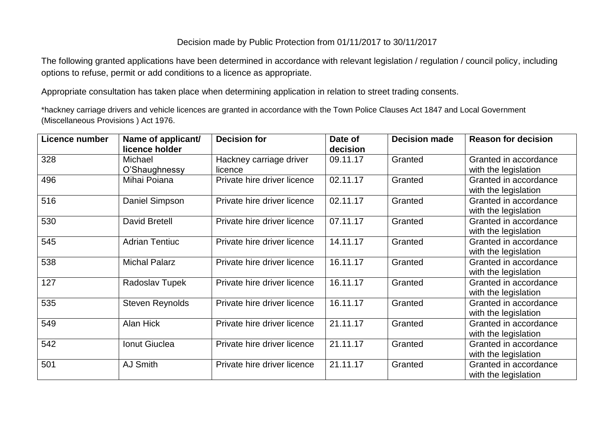## Decision made by Public Protection from 01/11/2017 to 30/11/2017

The following granted applications have been determined in accordance with relevant legislation / regulation / council policy, including options to refuse, permit or add conditions to a licence as appropriate.

Appropriate consultation has taken place when determining application in relation to street trading consents.

\*hackney carriage drivers and vehicle licences are granted in accordance with the Town Police Clauses Act 1847 and Local Government (Miscellaneous Provisions ) Act 1976.

| Licence number | Name of applicant/<br>licence holder | <b>Decision for</b>                | Date of<br>decision | <b>Decision made</b> | <b>Reason for decision</b>                    |
|----------------|--------------------------------------|------------------------------------|---------------------|----------------------|-----------------------------------------------|
| 328            | Michael<br>O'Shaughnessy             | Hackney carriage driver<br>licence | 09.11.17            | Granted              | Granted in accordance<br>with the legislation |
| 496            | Mihai Poiana                         | Private hire driver licence        | 02.11.17            | Granted              | Granted in accordance<br>with the legislation |
| 516            | Daniel Simpson                       | Private hire driver licence        | 02.11.17            | Granted              | Granted in accordance<br>with the legislation |
| 530            | <b>David Bretell</b>                 | Private hire driver licence        | 07.11.17            | Granted              | Granted in accordance<br>with the legislation |
| 545            | <b>Adrian Tentiuc</b>                | Private hire driver licence        | 14.11.17            | Granted              | Granted in accordance<br>with the legislation |
| 538            | <b>Michal Palarz</b>                 | Private hire driver licence        | 16.11.17            | Granted              | Granted in accordance<br>with the legislation |
| 127            | Radoslav Tupek                       | Private hire driver licence        | 16.11.17            | Granted              | Granted in accordance<br>with the legislation |
| 535            | <b>Steven Reynolds</b>               | Private hire driver licence        | 16.11.17            | Granted              | Granted in accordance<br>with the legislation |
| 549            | Alan Hick                            | Private hire driver licence        | 21.11.17            | Granted              | Granted in accordance<br>with the legislation |
| 542            | Ionut Giuclea                        | Private hire driver licence        | 21.11.17            | Granted              | Granted in accordance<br>with the legislation |
| 501            | <b>AJ Smith</b>                      | Private hire driver licence        | 21.11.17            | Granted              | Granted in accordance<br>with the legislation |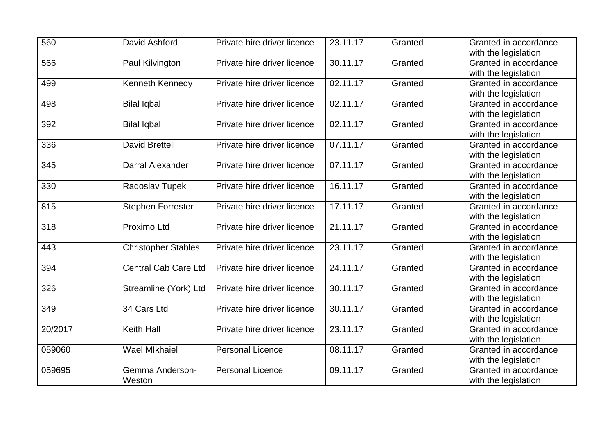| 560     | David Ashford               | Private hire driver licence | 23.11.17              | Granted | Granted in accordance |
|---------|-----------------------------|-----------------------------|-----------------------|---------|-----------------------|
|         |                             |                             |                       |         | with the legislation  |
| 566     | Paul Kilvington             | Private hire driver licence | 30.11.17              | Granted | Granted in accordance |
|         |                             |                             |                       |         | with the legislation  |
| 499     | Kenneth Kennedy             | Private hire driver licence | 02.11.17              | Granted | Granted in accordance |
|         |                             |                             |                       |         | with the legislation  |
| 498     | <b>Bilal Iqbal</b>          | Private hire driver licence | $\overline{02.11.17}$ | Granted | Granted in accordance |
|         |                             |                             |                       |         | with the legislation  |
| 392     | <b>Bilal Iqbal</b>          | Private hire driver licence | 02.11.17              | Granted | Granted in accordance |
|         |                             |                             |                       |         | with the legislation  |
| 336     | <b>David Brettell</b>       | Private hire driver licence | 07.11.17              | Granted | Granted in accordance |
|         |                             |                             |                       |         | with the legislation  |
| 345     | Darral Alexander            | Private hire driver licence | 07.11.17              | Granted | Granted in accordance |
|         |                             |                             |                       |         | with the legislation  |
| 330     | Radoslav Tupek              | Private hire driver licence | 16.11.17              | Granted | Granted in accordance |
|         |                             |                             |                       |         | with the legislation  |
| 815     | <b>Stephen Forrester</b>    | Private hire driver licence | 17.11.17              | Granted | Granted in accordance |
|         |                             |                             |                       |         | with the legislation  |
| 318     | Proximo Ltd                 | Private hire driver licence | 21.11.17              | Granted | Granted in accordance |
|         |                             |                             |                       |         | with the legislation  |
| 443     | <b>Christopher Stables</b>  | Private hire driver licence | 23.11.17              | Granted | Granted in accordance |
|         |                             |                             |                       |         | with the legislation  |
| 394     | <b>Central Cab Care Ltd</b> | Private hire driver licence | 24.11.17              | Granted | Granted in accordance |
|         |                             |                             |                       |         | with the legislation  |
| 326     | Streamline (York) Ltd       | Private hire driver licence | 30.11.17              | Granted | Granted in accordance |
|         |                             |                             |                       |         | with the legislation  |
| 349     | 34 Cars Ltd                 | Private hire driver licence | 30.11.17              | Granted | Granted in accordance |
|         |                             |                             |                       |         | with the legislation  |
| 20/2017 | <b>Keith Hall</b>           | Private hire driver licence | 23.11.17              | Granted | Granted in accordance |
|         |                             |                             |                       |         | with the legislation  |
| 059060  | <b>Wael Mikhaiel</b>        | <b>Personal Licence</b>     | 08.11.17              | Granted | Granted in accordance |
|         |                             |                             |                       |         | with the legislation  |
| 059695  | Gemma Anderson-             | <b>Personal Licence</b>     | 09.11.17              | Granted | Granted in accordance |
|         | Weston                      |                             |                       |         | with the legislation  |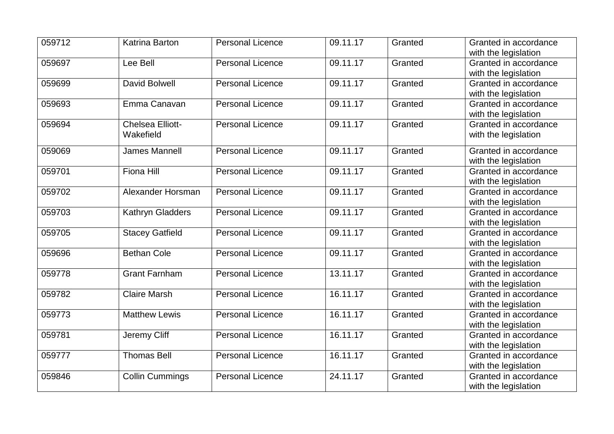| 059712 | Katrina Barton          | <b>Personal Licence</b> | 09.11.17 | Granted | Granted in accordance |
|--------|-------------------------|-------------------------|----------|---------|-----------------------|
|        |                         |                         |          |         | with the legislation  |
| 059697 | Lee Bell                | <b>Personal Licence</b> | 09.11.17 | Granted | Granted in accordance |
|        |                         |                         |          |         | with the legislation  |
| 059699 | David Bolwell           | <b>Personal Licence</b> | 09.11.17 | Granted | Granted in accordance |
|        |                         |                         |          |         | with the legislation  |
| 059693 | Emma Canavan            | <b>Personal Licence</b> | 09.11.17 | Granted | Granted in accordance |
|        |                         |                         |          |         | with the legislation  |
| 059694 | <b>Chelsea Elliott-</b> | <b>Personal Licence</b> | 09.11.17 | Granted | Granted in accordance |
|        | Wakefield               |                         |          |         | with the legislation  |
| 059069 | <b>James Mannell</b>    | <b>Personal Licence</b> | 09.11.17 | Granted | Granted in accordance |
|        |                         |                         |          |         | with the legislation  |
| 059701 | <b>Fiona Hill</b>       | <b>Personal Licence</b> | 09.11.17 | Granted | Granted in accordance |
|        |                         |                         |          |         | with the legislation  |
| 059702 | Alexander Horsman       | <b>Personal Licence</b> | 09.11.17 | Granted | Granted in accordance |
|        |                         |                         |          |         | with the legislation  |
| 059703 | Kathryn Gladders        | <b>Personal Licence</b> | 09.11.17 | Granted | Granted in accordance |
|        |                         |                         |          |         | with the legislation  |
| 059705 | Stacey Gatfield         | <b>Personal Licence</b> | 09.11.17 | Granted | Granted in accordance |
|        |                         |                         |          |         | with the legislation  |
| 059696 | <b>Bethan Cole</b>      | <b>Personal Licence</b> | 09.11.17 | Granted | Granted in accordance |
|        |                         |                         |          |         | with the legislation  |
| 059778 | <b>Grant Farnham</b>    | <b>Personal Licence</b> | 13.11.17 | Granted | Granted in accordance |
|        |                         |                         |          |         | with the legislation  |
| 059782 | <b>Claire Marsh</b>     | <b>Personal Licence</b> | 16.11.17 | Granted | Granted in accordance |
|        |                         |                         |          |         | with the legislation  |
| 059773 | <b>Matthew Lewis</b>    | <b>Personal Licence</b> | 16.11.17 | Granted | Granted in accordance |
|        |                         |                         |          |         | with the legislation  |
| 059781 | Jeremy Cliff            | <b>Personal Licence</b> | 16.11.17 | Granted | Granted in accordance |
|        |                         |                         |          |         | with the legislation  |
| 059777 | <b>Thomas Bell</b>      | <b>Personal Licence</b> | 16.11.17 | Granted | Granted in accordance |
|        |                         |                         |          |         | with the legislation  |
| 059846 | <b>Collin Cummings</b>  | <b>Personal Licence</b> | 24.11.17 | Granted | Granted in accordance |
|        |                         |                         |          |         | with the legislation  |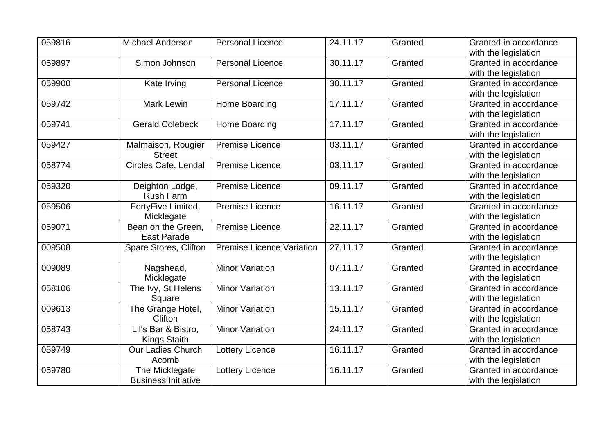| 059816 | Michael Anderson           | <b>Personal Licence</b>          | 24.11.17 | Granted | Granted in accordance |
|--------|----------------------------|----------------------------------|----------|---------|-----------------------|
|        |                            |                                  |          |         | with the legislation  |
| 059897 | Simon Johnson              | <b>Personal Licence</b>          | 30.11.17 | Granted | Granted in accordance |
|        |                            |                                  |          |         | with the legislation  |
| 059900 | Kate Irving                | <b>Personal Licence</b>          | 30.11.17 | Granted | Granted in accordance |
|        |                            |                                  |          |         | with the legislation  |
| 059742 | Mark Lewin                 | Home Boarding                    | 17.11.17 | Granted | Granted in accordance |
|        |                            |                                  |          |         | with the legislation  |
| 059741 | <b>Gerald Colebeck</b>     | Home Boarding                    | 17.11.17 | Granted | Granted in accordance |
|        |                            |                                  |          |         | with the legislation  |
| 059427 | Malmaison, Rougier         | <b>Premise Licence</b>           | 03.11.17 | Granted | Granted in accordance |
|        | <b>Street</b>              |                                  |          |         | with the legislation  |
| 058774 | Circles Cafe, Lendal       | <b>Premise Licence</b>           | 03.11.17 | Granted | Granted in accordance |
|        |                            |                                  |          |         | with the legislation  |
| 059320 | Deighton Lodge,            | <b>Premise Licence</b>           | 09.11.17 | Granted | Granted in accordance |
|        | <b>Rush Farm</b>           |                                  |          |         | with the legislation  |
| 059506 | FortyFive Limited,         | <b>Premise Licence</b>           | 16.11.17 | Granted | Granted in accordance |
|        | Micklegate                 |                                  |          |         | with the legislation  |
| 059071 | Bean on the Green,         | <b>Premise Licence</b>           | 22.11.17 | Granted | Granted in accordance |
|        | <b>East Parade</b>         |                                  |          |         | with the legislation  |
| 009508 | Spare Stores, Clifton      | <b>Premise Licence Variation</b> | 27.11.17 | Granted | Granted in accordance |
|        |                            |                                  |          |         | with the legislation  |
| 009089 | Nagshead,                  | <b>Minor Variation</b>           | 07.11.17 | Granted | Granted in accordance |
|        | Micklegate                 |                                  |          |         | with the legislation  |
| 058106 | The Ivy, St Helens         | <b>Minor Variation</b>           | 13.11.17 | Granted | Granted in accordance |
|        | Square                     |                                  |          |         | with the legislation  |
| 009613 | The Grange Hotel,          | <b>Minor Variation</b>           | 15.11.17 | Granted | Granted in accordance |
|        | Clifton                    |                                  |          |         | with the legislation  |
| 058743 | Lil's Bar & Bistro,        | <b>Minor Variation</b>           | 24.11.17 | Granted | Granted in accordance |
|        | <b>Kings Staith</b>        |                                  |          |         | with the legislation  |
| 059749 | <b>Our Ladies Church</b>   | <b>Lottery Licence</b>           | 16.11.17 | Granted | Granted in accordance |
|        | Acomb                      |                                  |          |         | with the legislation  |
| 059780 | The Micklegate             | Lottery Licence                  | 16.11.17 | Granted | Granted in accordance |
|        | <b>Business Initiative</b> |                                  |          |         | with the legislation  |